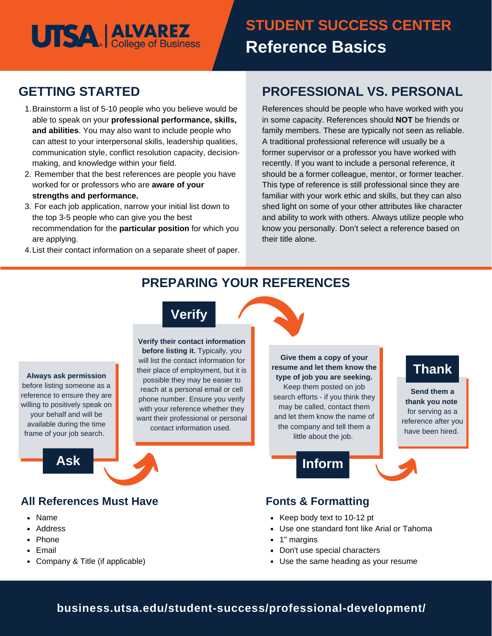# **UTSA ALVAREZ**

### **GETTING STARTED**

- Brainstorm a list of 5-10 people who you believe would be 1. able to speak on your **professional performance, skills, and abilities**. You may also want to include people who can attest to your interpersonal skills, leadership qualities, communication style, conflict resolution capacity, decisionmaking, and knowledge within your field.
- 2. Remember that the best references are people you have worked for or professors who are **aware of your strengths and performance.**
- For each job application, narrow your initial list down to 3. the top 3-5 people who can give you the best recommendation for the **particular position** for which you are applying.
- List their contact information on a separate sheet of paper. 4.

### **PROFESSIONAL VS. PERSONAL**

References should be people who have worked with you in some capacity. References should **NOT** be friends or family members. These are typically not seen as reliable. A traditional professional reference will usually be a former supervisor or a professor you have worked with recently. If you want to include a personal reference, it should be a former colleague, mentor, or former teacher. This type of reference is still professional since they are familiar with your work ethic and skills, but they can also shed light on some of your other attributes like character and ability to work with others. Always utilize people who know you personally. Don't select a reference based on their title alone.

### **PREPARING YOUR REFERENCES**



**Verify their contact information before listing it.** Typically, you will list the contact information for their place of employment, but it is possible they may be easier to reach at a personal email or cell phone number. Ensure you verify with your reference whether they want their professional or personal contact information used.

**Always ask permission** before listing someone as a reference to ensure they are willing to positively speak on your behalf and will be available during the time frame of your job search.

### **All References Must Have Fonts & Formatting**

- Name
- Address
- Phone
- Email
- Company & Title (if applicable)

**Give them a copy of your resume and let them know the type of job you are seeking.** Keep them posted on job search efforts - if you think they may be called, contact them and let them know the name of the company and tell them a little about the job.

## Ask **Information** inform

### **Thank**

**Send them a thank you note** for serving as a reference after you have been hired.

- Keep body text to 10-12 pt
- Use one standard font like Arial or Tahoma
- 1" margins
- Don't use special characters
- Use the same heading as your resume

### **business.utsa.edu/student-success/professional-development/**